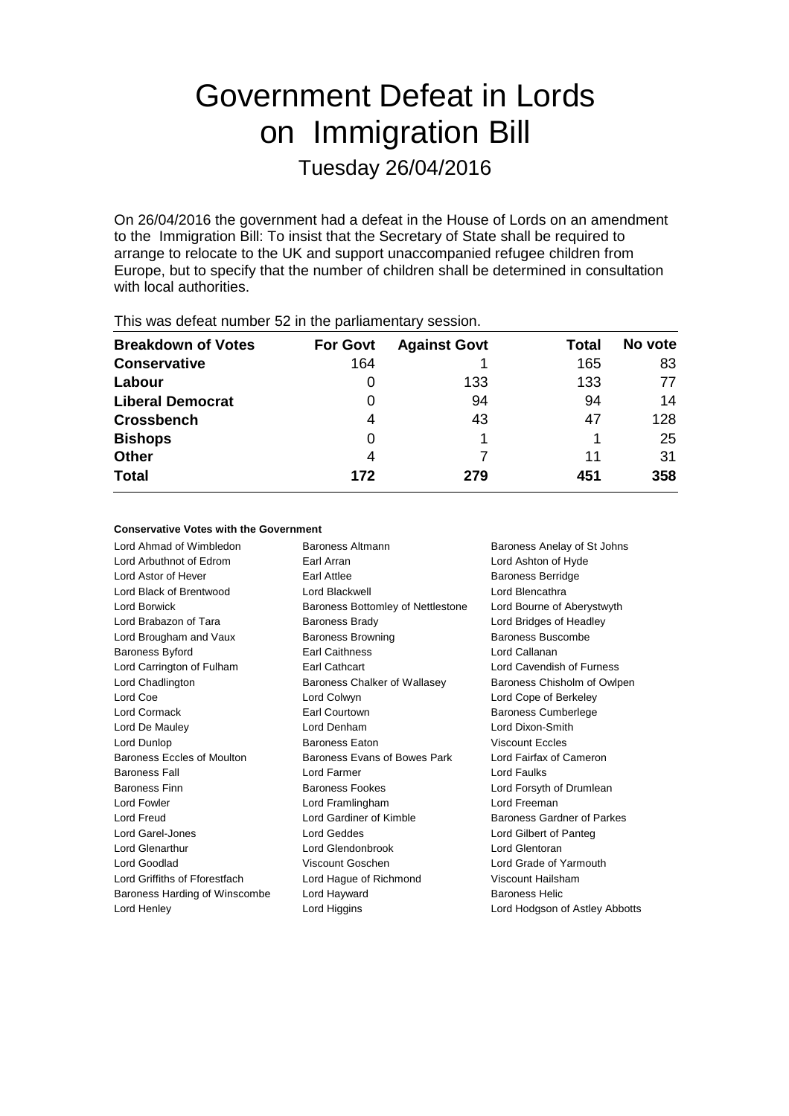# Government Defeat in Lords on Immigration Bill Tuesday 26/04/2016

On 26/04/2016 the government had a defeat in the House of Lords on an amendment to the Immigration Bill: To insist that the Secretary of State shall be required to arrange to relocate to the UK and support unaccompanied refugee children from Europe, but to specify that the number of children shall be determined in consultation with local authorities.

| $1110$ $1140$ $1000$ $1001$ $1001$ $1000$ $1000$ $1000$ $1000$ |                 |                     |              |         |
|----------------------------------------------------------------|-----------------|---------------------|--------------|---------|
| <b>Breakdown of Votes</b>                                      | <b>For Govt</b> | <b>Against Govt</b> | <b>Total</b> | No vote |
| <b>Conservative</b>                                            | 164             |                     | 165          | 83      |
| Labour                                                         |                 | 133                 | 133          | 77      |
| <b>Liberal Democrat</b>                                        | 0               | 94                  | 94           | 14      |
| <b>Crossbench</b>                                              | 4               | 43                  | 47           | 128     |
| <b>Bishops</b>                                                 |                 |                     |              | 25      |
| <b>Other</b>                                                   | 4               |                     | 11           | 31      |
| <b>Total</b>                                                   | 172             | 279                 | 451          | 358     |
|                                                                |                 |                     |              |         |

This was defeat number 52 in the parliamentary session.

### **Conservative Votes with the Government**

Lord Ahmad of Wimbledon Baroness Altmann Baroness Anelay of St Johns Lord Arbuthnot of Edrom Earl Arran Lord Ashton of Hyde Lord Astor of Hever **Earl Attlee** Earl Attlee **Baroness Berridge** Lord Black of Brentwood Lord Blackwell Lord Blencathra Lord Borwick **Baroness Bottomley of Nettlestone** Lord Bourne of Aberystwyth Lord Brabazon of Tara **Baroness Brady Lord Bridges of Headley Lord Bridges of Headley** Lord Brougham and Vaux **Baroness Browning** Baroness Baroness Buscombe Baroness Byford Earl Caithness Lord Callanan Lord Carrington of Fulham Earl Cathcart Lord Cavendish of Furness Lord Chadlington **Baroness Chalker of Wallasey** Baroness Chisholm of Owlpen Lord Coe Lord Colwyn Lord Cope of Berkeley Lord Cormack Earl Courtown Baroness Cumberlege Lord De Mauley **Lord Denham** Lord Denham **Lord Dixon-Smith** Lord Dunlop Baroness Eaton Viscount Eccles Baroness Eccles of Moulton Baroness Evans of Bowes Park Lord Fairfax of Cameron Baroness Fall **Lord Farmer** Communications Communications Communications Communications Communications Communications Communications Communications Communications Communications Communications Communications Communications Baroness Finn Baroness Fookes Lord Forsyth of Drumlean Lord Fowler **Lord Framlingham** Lord Freeman Lord Freud Lord Gardiner of Kimble Baroness Gardner of Parkes Lord Garel-Jones Lord Geddes Lord Gilbert of Panteg Lord Glenarthur Lord Glendonbrook Lord Glentoran Lord Goodlad Viscount Goschen Lord Grade of Yarmouth Lord Griffiths of Fforestfach Lord Hague of Richmond Viscount Hailsham Baroness Harding of Winscombe Lord Hayward Baroness Helic Lord Henley Lord Higgins Lord Hodgson of Astley Abbotts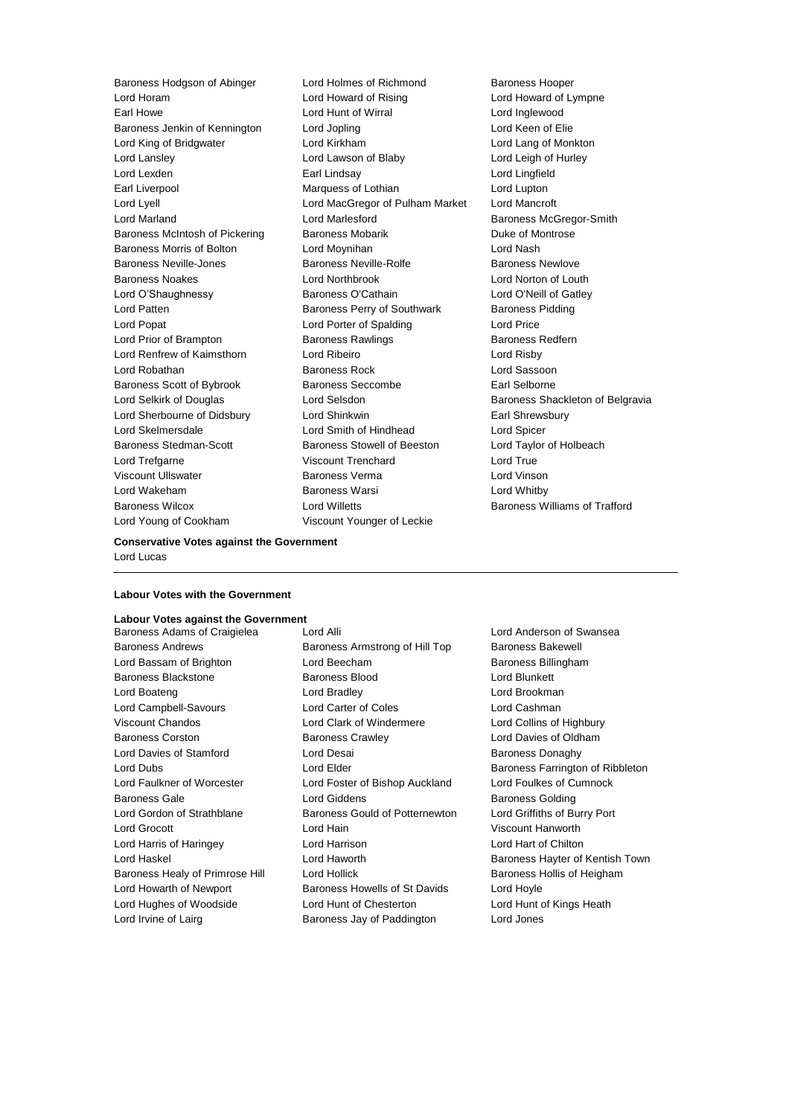Lord Horam Lord Howard of Rising Lord Howard of Lympne Earl Howe Lord Hunt of Wirral Lord Inglewood Baroness Jenkin of Kennington Lord Jopling Communication Lord Keen of Elie Lord King of Bridgwater Lord Kirkham Lord Lang of Monkton Lord Lansley Lord Lawson of Blaby Lord Leigh of Hurley Lord Lexden Earl Lindsay Lord Lingfield Earl Liverpool Marquess of Lothian Lord Lupton Lord Lyell Lord MacGregor of Pulham Market Lord Mancroft Lord Marland Lord Marlesford Baroness McGregor-Smith Baroness McIntosh of Pickering Baroness Mobarik Baroness Montrose Baroness Morris of Bolton Lord Moynihan Lord Nash Baroness Neville-Jones Baroness Neville-Rolfe Baroness Newlove Baroness Noakes Lord Northbrook Lord Norton of Louth Lord O'Shaughnessy Baroness O'Cathain Lord O'Neill of Gatley Lord Patten **Baroness Perry of Southwark** Baroness Pidding Lord Popat Lord Porter of Spalding Lord Price Lord Prior of Brampton **Baroness Rawlings** Baroness Redfern Lord Renfrew of Kaimsthorn Lord Ribeiro Lord Risby Lord Robathan Baroness Rock Lord Sassoon Baroness Scott of Bybrook Baroness Seccombe Earl Selborne Lord Selkirk of Douglas **Lord Selsdon** Baroness Shackleton of Belgravia Lord Sherbourne of Didsbury Lord Shinkwin **Earl Shinkwin** Earl Shrewsbury Lord Skelmersdale Lord Smith of Hindhead Lord Spicer Baroness Stedman-Scott **Baroness Stowell of Beeston** Lord Taylor of Holbeach Lord Trefgarne **Viscount Trenchard** Lord True Viscount Ullswater Baroness Verma Lord Vinson Lord Wakeham **Baroness Warsi** Baroness Warsi **Lord Whitby** Baroness Wilcox Lord Willetts Baroness Williams of Trafford Lord Young of Cookham Viscount Younger of Leckie

Baroness Hodgson of Abinger Lord Holmes of Richmond Baroness Hooper

**Conservative Votes against the Government** Lord Lucas

#### **Labour Votes with the Government**

### **Labour Votes against the Government**

Lord Irvine of Lairg **Baroness Jay of Paddington** Lord Jones

Baroness Andrews **Baroness Armstrong of Hill Top** Baroness Bakewell Lord Bassam of Brighton **Lord Beecham** Baroness Billingham Baroness Blackstone Baroness Blood Lord Blunkett Lord Boateng Lord Bradley Lord Brookman Lord Campbell-Savours Lord Carter of Coles Lord Cashman Viscount Chandos Lord Clark of Windermere Lord Collins of Highbury Baroness Corston Baroness Crawley Lord Davies of Oldham Lord Davies of Stamford **Lord Desai Lord Desai** Baroness Donaghy Lord Faulkner of Worcester Lord Foster of Bishop Auckland Lord Foulkes of Cumnock Baroness Gale **Baroness Golding** Lord Giddens **Baroness Golding** Lord Gordon of Strathblane Baroness Gould of Potternewton Lord Griffiths of Burry Port Lord Grocott Lord Hain Viscount Hanworth Lord Harris of Haringey Lord Harrison Lord Hart of Chilton Baroness Healy of Primrose Hill Lord Hollick **Baroness Hollis of Heigham** Lord Howarth of Newport Baroness Howells of St Davids Lord Hoyle Lord Hughes of Woodside Lord Hunt of Chesterton Lord Hunt of Kings Heath

Baroness Adams of Craigielea Lord Alli Lord Anderson of Swansea Lord Dubs **Lord Elder Lord Elder Baroness Farrington of Ribbleton** Lord Haskel **Lord Haworth Baroness Hayter of Kentish Town**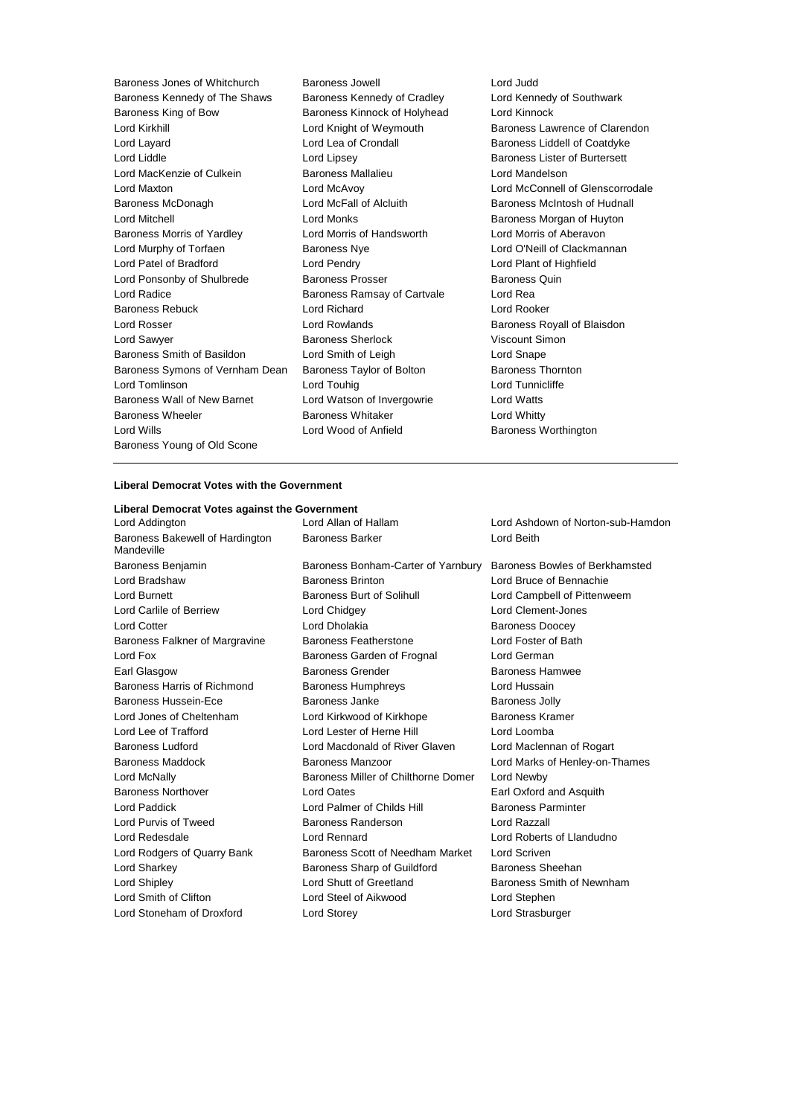Baroness Jones of Whitchurch Baroness Jowell Baroness Jowell Lord Judd<br>Baroness Kennedy of The Shaws Baroness Kennedy of Cradley Lord Kennedy of Southwark Baroness Kennedy of The Shaws Baroness Kennedy of Cradley Baroness King of Bow Baroness Kinnock of Holyhead Lord Kinnock Lord Kirkhill Lord Knight of Weymouth Baroness Lawrence of Clarendon Lord Layard **Lord Lea of Crondall Lord Lea of Crondall** Baroness Liddell of Coatdyke Lord Liddle Lord Lipsey Baroness Lister of Burtersett Lord MacKenzie of Culkein Baroness Mallalieu Lord Mandelson Lord Maxton Lord McAvoy Lord McConnell of Glenscorrodale Baroness McDonagh Lord McFall of Alcluith Baroness McIntosh of Hudnall Lord Mitchell Lord Monks Baroness Morgan of Huyton Baroness Morris of Yardley Lord Morris of Handsworth Lord Morris of Aberavon Lord Murphy of Torfaen Baroness Nye Lord O'Neill of Clackmannan Lord Patel of Bradford Lord Pendry Lord Plant of Highfield Lord Ponsonby of Shulbrede Baroness Prosser Baroness Quin Lord Radice Baroness Ramsay of Cartvale Lord Rea Baroness Rebuck Lord Richard Lord Rooker Lord Rosser Lord Rowlands Baroness Royall of Blaisdon Lord Sawyer **Baroness Sherlock** Viscount Simon Baroness Smith of Basildon Lord Smith of Leigh Lord Snape Baroness Symons of Vernham Dean Baroness Taylor of Bolton Baroness Thornton Lord Tomlinson Lord Touhig Lord Tunnicliffe Baroness Wall of New Barnet Lord Watson of Invergowrie Lord Watts Baroness Wheeler **Baroness Whitaker** Lord Whitty Lord Wills Lord Wood of Anfield Baroness Worthington Baroness Young of Old Scone

- 
- 

### **Liberal Democrat Votes with the Government**

**Liberal Democrat Votes against the Government** Lord Addington Lord Allan of Hallam Lord Ashdown of Norton-sub-Hamdon Baroness Bakewell of Hardington Mandeville Baroness Benjamin Baroness Bonham-Carter of Yarnbury Baroness Bowles of Berkhamsted Lord Bradshaw Baroness Brinton Lord Bruce of Bennachie Lord Burnett **Baroness Burt of Solihull** Lord Campbell of Pittenweem Lord Carlile of Berriew Lord Chidgey Lord Clement-Jones Lord Cotter **Lord Dholakia** Baroness Doocey Baroness Falkner of Margravine Baroness Featherstone Lord Foster of Bath Lord Fox Baroness Garden of Frognal Lord German Earl Glasgow **Baroness Grender** Baroness Hamwee Baroness Hamwee Baroness Harris of Richmond Baroness Humphreys Lord Hussain Baroness Hussein-Ece **Baroness Janke** Baroness Janke Baroness Jolly Lord Jones of Cheltenham Lord Kirkwood of Kirkhope Baroness Kramer Lord Lee of Trafford Lord Lester of Herne Hill Lord Loomba Baroness Ludford Lord Macdonald of River Glaven Lord Maclennan of Rogart Baroness Maddock Baroness Manzoor Lord Marks of Henley-on-Thames Lord McNally Baroness Miller of Chilthorne Domer Lord Newby Baroness Northover Lord Oates Earl Oxford and Asquith Lord Paddick **Lord Palmer of Childs Hill Baroness Parminter** Lord Purvis of Tweed Baroness Randerson Lord Razzall Lord Redesdale Lord Rennard Lord Roberts of Llandudno Lord Rodgers of Quarry Bank Baroness Scott of Needham Market Lord Scriven Lord Sharkey Baroness Sharp of Guildford Baroness Sheehan Lord Shipley **Lord Shutt of Greetland** Baroness Smith of Newnham Lord Smith of Clifton Lord Steel of Aikwood Lord Stephen Lord Stoneham of Droxford Lord Storey Lord Strasburger

Baroness Barker Lord Beith